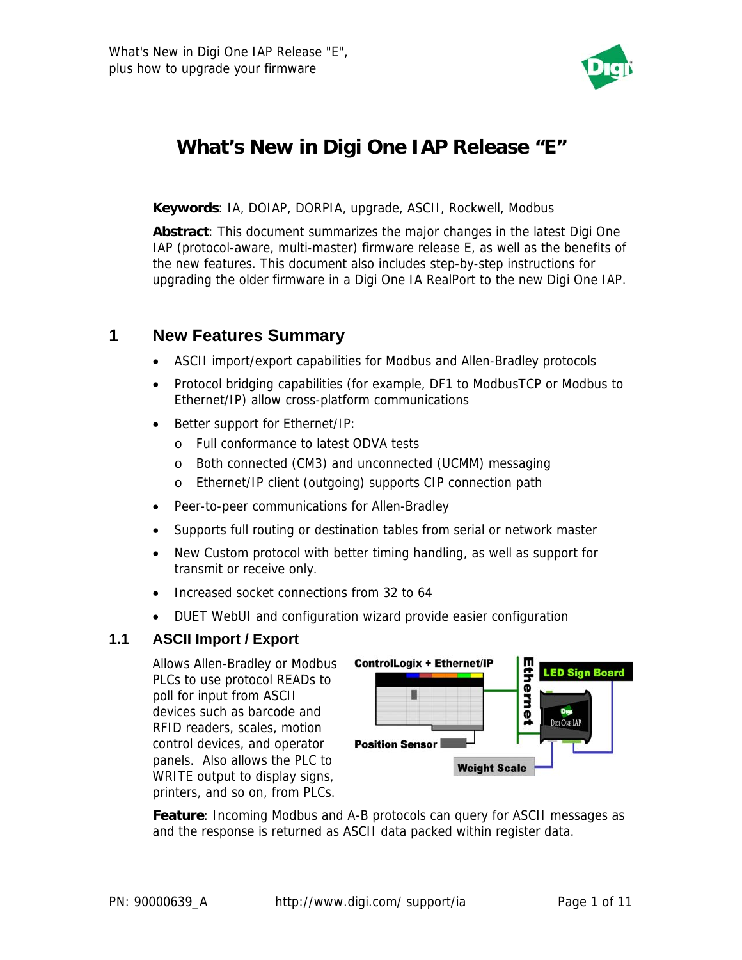

# **What's New in Digi One IAP Release "E"**

**Keywords**: IA, DOIAP, DORPIA, upgrade, ASCII, Rockwell, Modbus

**Abstract**: This document summarizes the major changes in the latest Digi One IAP (protocol-aware, multi-master) firmware release E, as well as the benefits of the new features. This document also includes step-by-step instructions for upgrading the older firmware in a Digi One IA RealPort to the new Digi One IAP.

### **1 New Features Summary**

- ASCII import/export capabilities for Modbus and Allen-Bradley protocols
- Protocol bridging capabilities (for example, DF1 to ModbusTCP or Modbus to Ethernet/IP) allow cross-platform communications
- Better support for Ethernet/IP:
	- o Full conformance to latest ODVA tests
	- o Both connected (CM3) and unconnected (UCMM) messaging
	- o Ethernet/IP client (outgoing) supports CIP connection path
- Peer-to-peer communications for Allen-Bradley
- Supports full routing or destination tables from serial or network master
- New Custom protocol with better timing handling, as well as support for transmit or receive only.
- Increased socket connections from 32 to 64
- DUET WebUI and configuration wizard provide easier configuration

#### **1.1 ASCII Import / Export**

Allows Allen-Bradley or Modbus PLCs to use protocol READs to poll for input from ASCII devices such as barcode and RFID readers, scales, motion control devices, and operator panels. Also allows the PLC to WRITE output to display signs, printers, and so on, from PLCs.



**Feature**: Incoming Modbus and A-B protocols can query for ASCII messages as and the response is returned as ASCII data packed within register data.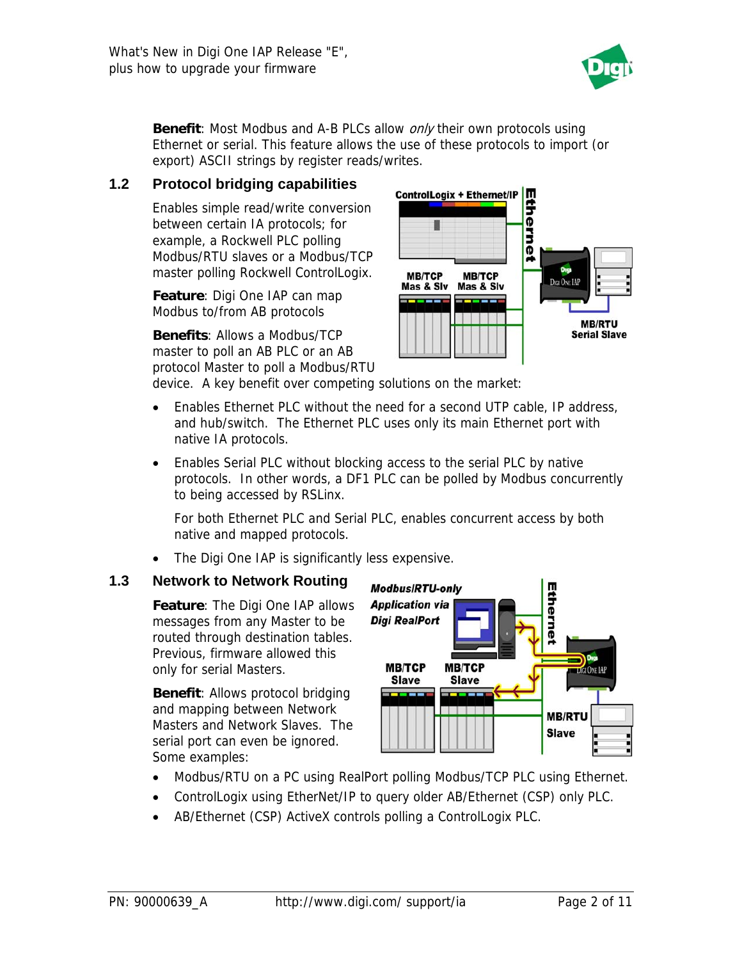

**Benefit:** Most Modbus and A-B PLCs allow *only* their own protocols using Ethernet or serial. This feature allows the use of these protocols to import (or export) ASCII strings by register reads/writes.

#### **1.2 Protocol bridging capabilities**

Enables simple read/write conversion between certain IA protocols; for example, a Rockwell PLC polling Modbus/RTU slaves or a Modbus/TCP master polling Rockwell ControlLogix.

**Feature**: Digi One IAP can map Modbus to/from AB protocols

**Benefits**: Allows a Modbus/TCP master to poll an AB PLC or an AB protocol Master to poll a Modbus/RTU



device. A key benefit over competing solutions on the market:

- Enables Ethernet PLC without the need for a second UTP cable, IP address, and hub/switch. The Ethernet PLC uses only its main Ethernet port with native IA protocols.
- Enables Serial PLC without blocking access to the serial PLC by native protocols. In other words, a DF1 PLC can be polled by Modbus concurrently to being accessed by RSLinx.

For both Ethernet PLC and Serial PLC, enables concurrent access by both native and mapped protocols.

• The Digi One IAP is significantly less expensive.

### **1.3 Network to Network Routing**

**Feature**: The Digi One IAP allows messages from any Master to be routed through destination tables. Previous, firmware allowed this only for serial Masters.

**Benefit**: Allows protocol bridging and mapping between Network Masters and Network Slaves. The serial port can even be ignored. Some examples:



- Modbus/RTU on a PC using RealPort polling Modbus/TCP PLC using Ethernet.
- ControlLogix using EtherNet/IP to query older AB/Ethernet (CSP) only PLC.
- AB/Ethernet (CSP) ActiveX controls polling a ControlLogix PLC.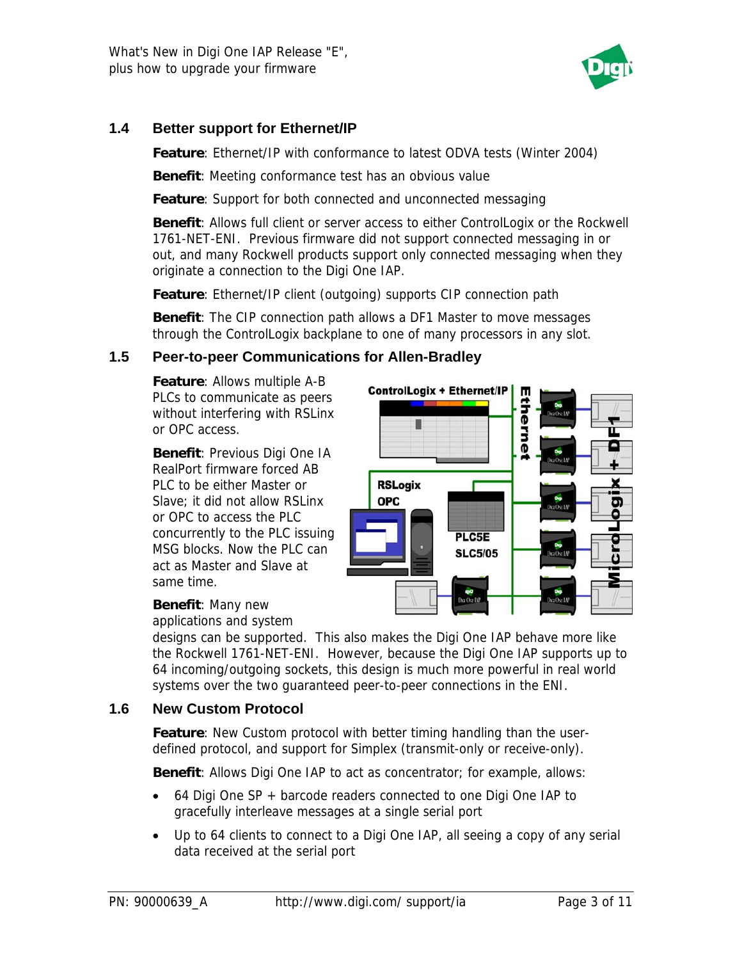

#### **1.4 Better support for Ethernet/IP**

**Feature**: Ethernet/IP with conformance to latest ODVA tests (Winter 2004)

**Benefit**: Meeting conformance test has an obvious value

**Feature**: Support for both connected and unconnected messaging

**Benefit**: Allows full client or server access to either ControlLogix or the Rockwell 1761-NET-ENI. Previous firmware did not support connected messaging in or out, and many Rockwell products support only connected messaging when they originate a connection to the Digi One IAP.

**Feature**: Ethernet/IP client (outgoing) supports CIP connection path

**Benefit**: The CIP connection path allows a DF1 Master to move messages through the ControlLogix backplane to one of many processors in any slot.

#### **1.5 Peer-to-peer Communications for Allen-Bradley**

**Feature**: Allows multiple A-B PLCs to communicate as peers without interfering with RSLinx or OPC access.

**Benefit**: Previous Digi One IA RealPort firmware forced AB PLC to be either Master or Slave; it did not allow RSLinx or OPC to access the PLC concurrently to the PLC i ssuing MSG blocks. Now the PLC can act as Master and Slave at same time.



#### **Benefit**: Many new

applications and system

designs can be supported. This also makes the Digi One IAP behave more like the Rockwell 1761-NET-ENI. However, because the Digi One IAP supports up to 64 incoming/outgoing sockets, this design is much more powerful in real world systems over the two guaranteed peer-to-peer connections in the ENI.

#### **1.6 New Custom Protocol**

**Feature**: New Custom protocol with better timing handling than the userdefined protocol, and support for Simplex (transmit-only or receive-only).

**Benefit**: Allows Digi One IAP to act as concentrator; for example, allows:

- 64 Digi One SP + barcode readers connected to one Digi One IAP to gracefully interleave messages at a single serial port
- Up to 64 clients to connect to a Digi One IAP, all seeing a copy of any serial data received at the serial port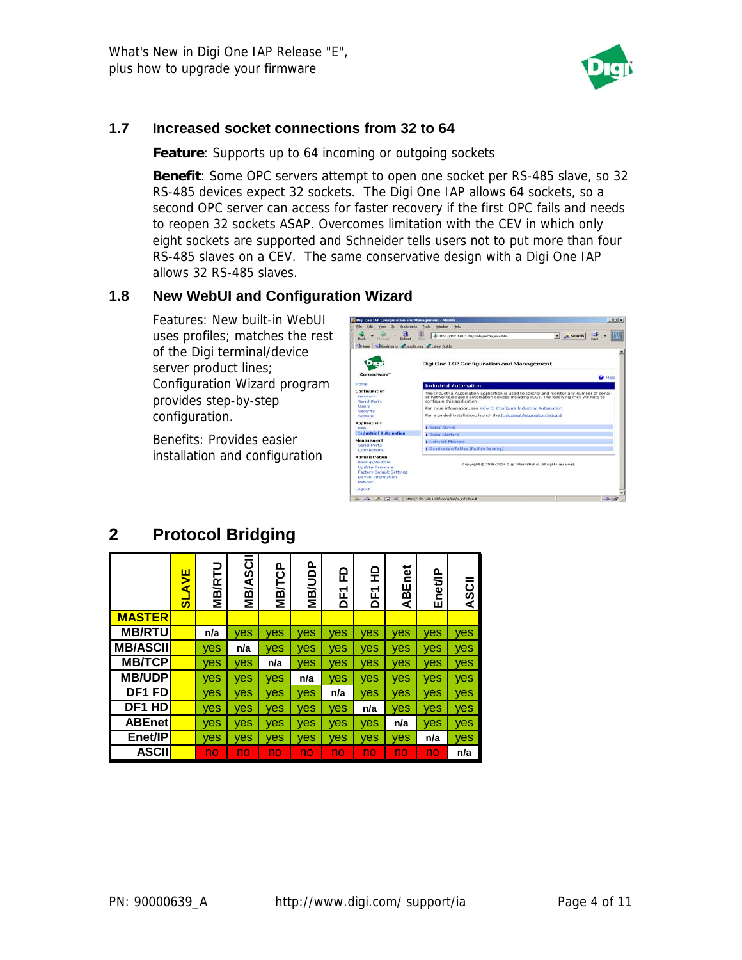

#### **1.7 Increased socket connections from 32 to 64**

**Feature**: Supports up to 64 incoming or outgoing sockets

**Benefit**: Some OPC servers attempt to open one socket per RS-485 slave, so 32 RS-485 devices expect 32 sockets. The Digi One IAP allows 64 sockets, so a second OPC server can access for faster recovery if the first OPC fails and needs to reopen 32 sockets ASAP. Overcomes limitation with the CEV in which only eight sockets are supported and Schneider tells users not to put more than four RS-485 slaves on a CEV. The same conservative design with a Digi One IAP allows 32 RS-485 slaves.

#### **1.8 New WebUI and Configuration Wizard**

Features: New built-in WebUI uses profiles; matches the rest of the Digi terminal/device server product lines; Configuration Wizard program provides step-by-step configuration.

Benefits: Provides easier installation and configuration



# **2 Protocol Bridging**

|                    | AVE<br>$\boldsymbol{\omega}$ | <b>MB/RTU</b> | <b>MB/ASCII</b> | <b>MB/TCP</b> | <b>MB/UDP</b> | 윤<br>군<br>۵ | 읖<br>Ĕ | Enet<br>AB. | Enet/IP | ASCII |
|--------------------|------------------------------|---------------|-----------------|---------------|---------------|-------------|--------|-------------|---------|-------|
| <b>MASTER</b>      |                              |               |                 |               |               |             |        |             |         |       |
| <b>MB/RTU</b>      |                              | n/a           | yes             | yes           | yes           | yes         | yes    | yes         | yes     | yes   |
| <b>MB/ASCII</b>    |                              | yes           | n/a             | ves           | ves           | ves         | ves    | ves         | ves     | yes   |
| <b>МВ/ТСР</b>      |                              | yes           | ves             | n/a           | yes           | yes         | yes    | <b>ves</b>  | yes     | ves   |
| <b>MB/UDP</b>      |                              | yes           | ves             | yes           | n/a           | yes         | yes    | yes         | yes     | yes   |
| DF <sub>1</sub> FD |                              | ves           | ves             | ves           | <b>ves</b>    | n/a         | yes    | <b>ves</b>  | ves     | yes   |
| DF1 HD             |                              | yes           | ves             | yes           | yes           | ves         | n/a    | ves         | yes     | yes   |
| <b>ABEnet</b>      |                              | yes           | ves             | yes           | ves           | ves         | yes    | n/a         | yes     | yes   |
| Enet/IP            |                              | yes           | ves             | ves           | ves           | ves         | yes    | <b>ves</b>  | n/a     | yes   |
| <b>ASCII</b>       |                              | no            | no              | no            | no            | no.         | no     | no          | no      | n/a   |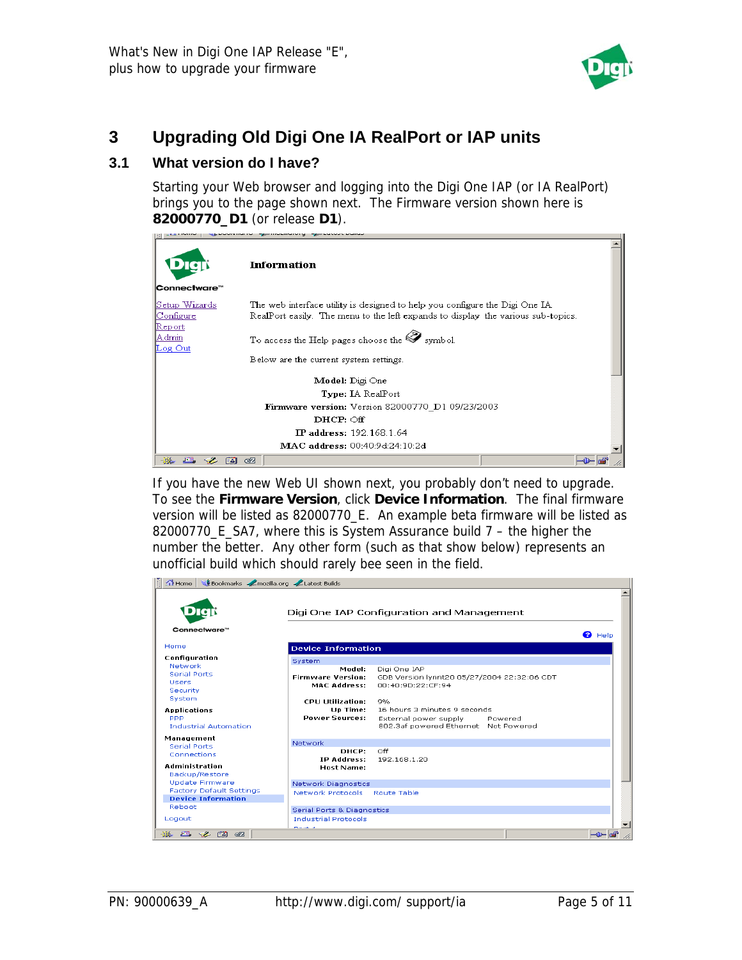

## **3 Upgrading Old Digi One IA RealPort or IAP units**

### **3.1 What version do I have?**

Starting your Web browser and logging into the Digi One IAP (or IA RealPort) brings you to the page shown next. The Firmware version shown here is **82000770\_D1** (or release **D1**).



If you have the new Web UI shown next, you probably don't need to upgrade. To see the **Firmware Version**, click **Device Information**. The final firmware version will be listed as 82000770\_E. An example beta firmware will be listed as 82000770\_E\_SA7, where this is System Assurance build 7 – the higher the number the better. Any other form (such as that show below) represents an unofficial build which should rarely bee seen in the field.

|                                   |                                       | Digi One IAP Configuration and Management   |                |
|-----------------------------------|---------------------------------------|---------------------------------------------|----------------|
| Connectware™                      |                                       |                                             | $\bullet$ Help |
| Home                              | <b>Device Information</b>             |                                             |                |
| Configuration                     | System                                |                                             |                |
| Network                           | Model:                                | Digi One IAP                                |                |
| Serial Ports                      | <b>Firmware Version:</b>              | GDB Version lynnt20 05/27/2004 22:32:06 CDT |                |
| Users.                            | MAC Address:                          | 00:40:90:22:CE:94                           |                |
| Security                          |                                       |                                             |                |
| <b>System</b>                     | <b>CPU Utilization:</b>               | 9%                                          |                |
| Applications                      | Up Time:                              | 16 hours 3 minutes 9 seconds                |                |
| PPP                               | <b>Power Sources:</b>                 | External power supply Powered               |                |
| <b>Industrial Automation</b>      |                                       | 802.3af powered Ethernet Not Powered        |                |
|                                   |                                       |                                             |                |
| Management<br><b>Serial Ports</b> | Network                               |                                             |                |
| Connections                       | DHCP:                                 | Off                                         |                |
|                                   | IP Address:                           | 192.168.1.20                                |                |
| <b>Administration</b>             | <b>Host Name:</b>                     |                                             |                |
| Backup/Restore                    |                                       |                                             |                |
| Update Firmware                   | Network Diagnostics                   |                                             |                |
| <b>Factory Default Settings</b>   | Network Protocols Route Table         |                                             |                |
| <b>Device Information</b>         |                                       |                                             |                |
| Reboot                            | <b>Serial Ports &amp; Diagnostics</b> |                                             |                |
| Logout                            | <b>Industrial Protocols</b>           |                                             |                |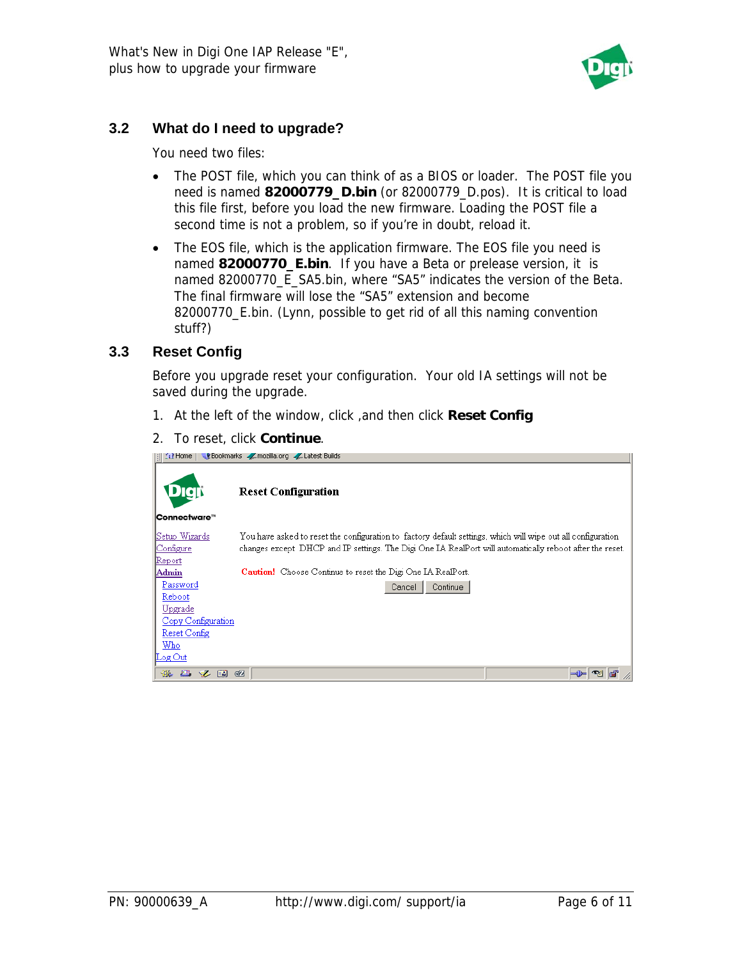

#### **3.2 What do I need to upgrade?**

You need two files:

- The POST file, which you can think of as a BIOS or loader. The POST file you need is named **82000779\_D.bin** (or 82000779\_D.pos). It is critical to load this file first, before you load the new firmware. Loading the POST file a second time is not a problem, so if you're in doubt, reload it.
- The EOS file, which is the application firmware. The EOS file you need is named **82000770\_E.bin**. If you have a Beta or prelease version, it is named 82000770\_E\_SA5.bin, where "SA5" indicates the version of the Beta. The final firmware will lose the "SA5" extension and become 82000770\_E.bin. (Lynn, possible to get rid of all this naming convention stuff?)

#### **3.3 Reset Config**

Before you upgrade reset your configuration. Your old IA settings will not be saved during the upgrade.

- 1. At the left of the window, click ,and then click **Reset Config**
- 2. To reset, click **Continue**.

| $\Omega$ Home                                                                                                                             | Bookmarks / mozilla.org / Latest Builds                                                                                                                                                                                                                                                                        |
|-------------------------------------------------------------------------------------------------------------------------------------------|----------------------------------------------------------------------------------------------------------------------------------------------------------------------------------------------------------------------------------------------------------------------------------------------------------------|
|                                                                                                                                           | <b>Reset Configuration</b>                                                                                                                                                                                                                                                                                     |
| <b>Connectware™</b>                                                                                                                       |                                                                                                                                                                                                                                                                                                                |
| Setup Wizards <br> Configure <br>Report<br>Admin<br>Password<br>Reboot<br>Upgrade<br>Copy Configuration<br>Reset Config<br>Who<br>Log Out | You have asked to reset the configuration to factory default settings, which will wipe out all configuration.<br>changes except DHCP and IP settings. The Digi One IA RealPort will automatically reboot after the reset.<br>Caution! Choose Continue to reset the Digi One IA RealPort.<br>Continue<br>Cancel |
| 淼<br><b>All Service</b><br><b>B</b><br>EA.                                                                                                | Œ                                                                                                                                                                                                                                                                                                              |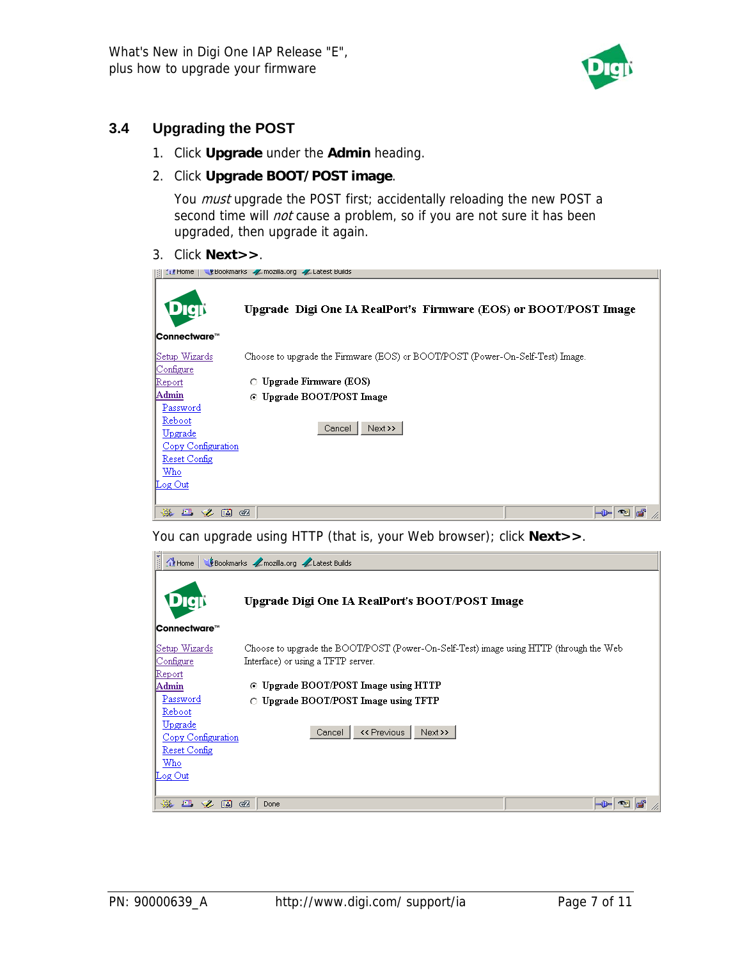

### **3.4 Upgrading the POST**

1. Click **Upgrade** under the **Admin** heading.

#### 2. Click **Upgrade BOOT/POST image**.

You *must* upgrade the POST first; accidentally reloading the new POST a second time will *not* cause a problem, so if you are not sure it has been upgraded, then upgrade it again.

3. Click **Next>>**.

| Ebookmarks / mozilla.org / Latest Builds<br><b>In Home</b>                                        |                                                                               |  |  |
|---------------------------------------------------------------------------------------------------|-------------------------------------------------------------------------------|--|--|
|                                                                                                   | Upgrade Digi One IA RealPort's Firmware (EOS) or BOOT/POST Image              |  |  |
| Connectware™                                                                                      |                                                                               |  |  |
| Setup Wizards<br>Configure                                                                        | Choose to upgrade the Firmware (EOS) or BOOT/POST (Power-On-Self-Test) Image. |  |  |
| Report                                                                                            | $\circ$ Upgrade Firmware (EOS)                                                |  |  |
| Admin                                                                                             | Upgrade BOOT/POST Image<br>O.                                                 |  |  |
| Password<br>Reboot<br>Upgrade<br>Copy Configuration<br>Reset Config<br>Who<br>$\mathbb{L}$ og Out | Next >><br>Cancel                                                             |  |  |
| ■ 多国<br>墨                                                                                         | <b>GZ</b>                                                                     |  |  |

You can upgrade using HTTP (that is, your Web browser); click **Next>>**.

| Bookmarks / mozilla.org / Latest Builds<br>$\bigcap$ Home |                                                                                                                              |  |  |
|-----------------------------------------------------------|------------------------------------------------------------------------------------------------------------------------------|--|--|
| $\bullet$                                                 | Upgrade Digi One IA RealPort's BOOT/POST Image                                                                               |  |  |
| Connectware™                                              |                                                                                                                              |  |  |
| Setup Wizards<br>Configure                                | Choose to upgrade the BOOT/POST (Power-On-Self-Test) image using HTTP (through the Web<br>Interface) or using a TFTP server. |  |  |
| Report<br>Admin                                           | Upgrade BOOT/POST Image using HTTP<br>⊙                                                                                      |  |  |
| Password<br>Reboot                                        | Upgrade BOOT/POST Image using TFTP<br>O.                                                                                     |  |  |
| Upgrade<br>Copy Configuration                             | << Previous<br>Next >><br>Cancel                                                                                             |  |  |
| Reset Config<br>Who                                       |                                                                                                                              |  |  |
| $\mathbb{L}$ og Out                                       |                                                                                                                              |  |  |
| 器<br><b>FM</b><br>$\bullet$<br>國                          | GZ<br>Done                                                                                                                   |  |  |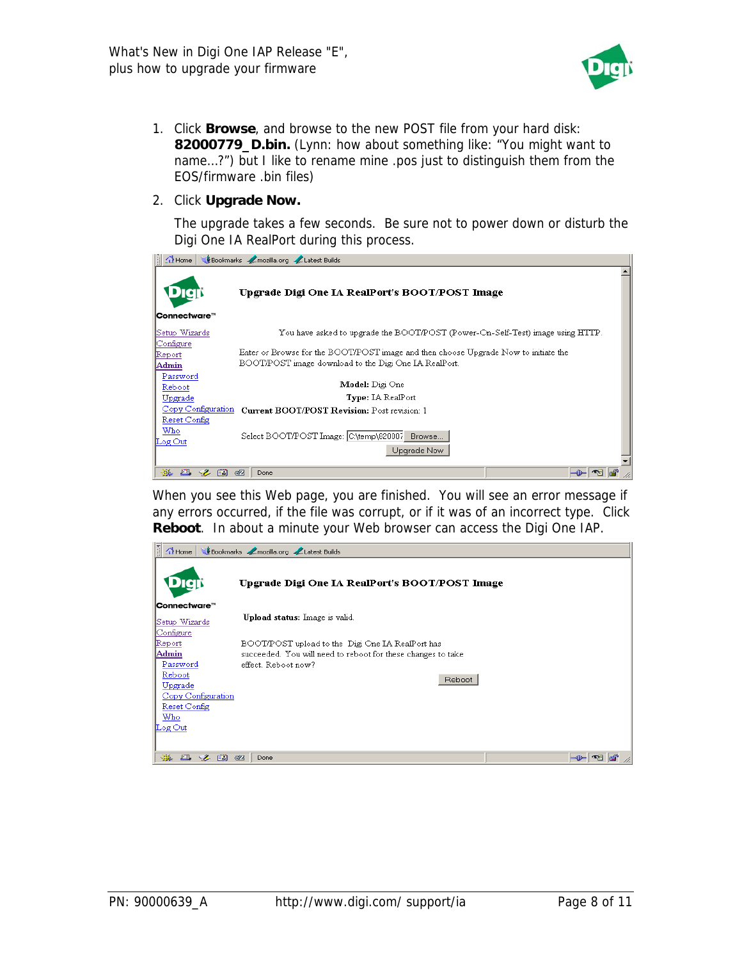

- 1. Click **Browse**, and browse to the new POST file from your hard disk: **82000779\_D.bin.** (Lynn: how about something like: "You might want to name…?") but I like to rename mine .pos just to distinguish them from the EOS/firmware .bin files)
- 2. Click **Upgrade Now.**

The upgrade takes a few seconds. Be sure not to power down or disturb the Digi One IA RealPort during this process.



When you see this Web page, you are finished. You will see an error message if any errors occurred, if the file was corrupt, or if it was of an incorrect type. Click **Reboot**. In about a minute your Web browser can access the Digi One IAP.

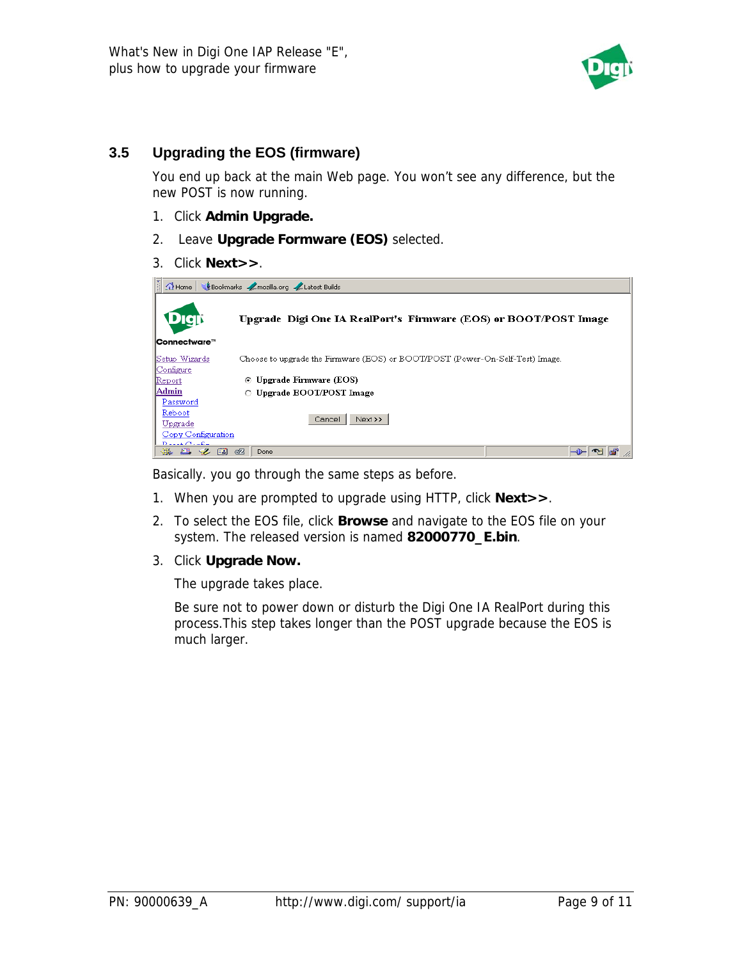

#### **3.5 Upgrading the EOS (firmware)**

You end up back at the main Web page. You won't see any difference, but the new POST is now running.

- 1. Click **Admin Upgrade.**
- 2. Leave **Upgrade Formware (EOS)** selected.
- 3. Click **Next>>**.

| $\frac{1}{2}$<br>Bookmarks / mozilla.org / Latest Builds<br>$\bigcap$ Home |                                                                               |  |  |
|----------------------------------------------------------------------------|-------------------------------------------------------------------------------|--|--|
| DICIN<br>Connectware™                                                      | Upgrade Digi One IA RealPort's Firmware (EOS) or BOOT/POST Image              |  |  |
| Setup Wizards<br>Configure                                                 | Choose to upgrade the Firmware (EOS) or BOOT/POST (Power-On-Self-Test) Image. |  |  |
| Report                                                                     | Upgrade Firmware (EOS)<br>$\bullet$                                           |  |  |
| Admin                                                                      | $\circ$ Upgrade BOOT/POST Image                                               |  |  |
| Password<br>Reboot                                                         |                                                                               |  |  |
| Upgrade                                                                    | Next >><br>Cancel                                                             |  |  |
| Copy Configuration<br>$D = L + C + L$                                      |                                                                               |  |  |
| ※ 四 ン 国 昭                                                                  | -0<br>Done                                                                    |  |  |

Basically. you go through the same steps as before.

- 1. When you are prompted to upgrade using HTTP, click **Next>>**.
- 2. To select the EOS file, click **Browse** and navigate to the EOS file on your system. The released version is named **82000770\_E.bin**.
- 3. Click **Upgrade Now.**

The upgrade takes place.

Be sure not to power down or disturb the Digi One IA RealPort during this process.This step takes longer than the POST upgrade because the EOS is much larger.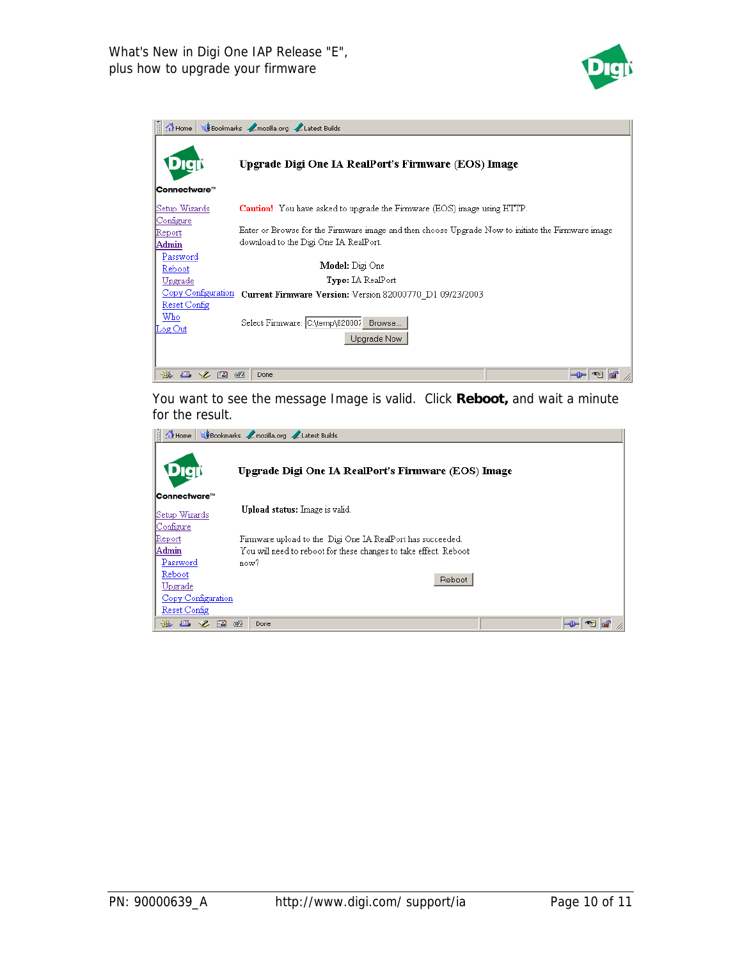

| Bookmarks / mozilla.org / Latest Builds<br>$\bigcap$ Home |                                                                                                                                            |  |  |
|-----------------------------------------------------------|--------------------------------------------------------------------------------------------------------------------------------------------|--|--|
|                                                           | Upgrade Digi One IA RealPort's Firmware (EOS) Image                                                                                        |  |  |
| Connectware™                                              |                                                                                                                                            |  |  |
| Setup Wizards                                             | <b>Caution!</b> You have asked to upgrade the Firmware (EOS) image using HTTP.                                                             |  |  |
| Configure<br>Report<br>Admin                              | Enter or Browse for the Firmware image and then choose Upgrade Now to initiate the Firmware image<br>download to the Digi One IA RealPort. |  |  |
| Password<br>Reboot                                        | Model: Digi One                                                                                                                            |  |  |
| Upgrade                                                   | <b>Type:</b> IA RealPort                                                                                                                   |  |  |
| Copy Configuration                                        | Current Firmware Version: Version 82000770 D1 09/23/2003                                                                                   |  |  |
| Reset Config<br>Who<br>Log Out                            | Select Firmware: C:\temp\820007<br>Browse<br>Upgrade Now                                                                                   |  |  |
| 磯<br>國                                                    | ৰেদ<br>Done                                                                                                                                |  |  |

You want to see the message Image is valid. Click **Reboot,** and wait a minute for the result.

| H.<br>Bookmarks / mozilla.org / Latest Builds<br><b>Til</b> Home |                                                                  |  |  |
|------------------------------------------------------------------|------------------------------------------------------------------|--|--|
| Digt                                                             | Upgrade Digi One IA RealPort's Firmware (EOS) Image              |  |  |
| Connectware™                                                     |                                                                  |  |  |
| Setup Wizards                                                    | Upload status: Image is valid.                                   |  |  |
| Configure                                                        |                                                                  |  |  |
| Report                                                           | Firmware upload to the Digi One IA RealPort has succeeded.       |  |  |
| Admin                                                            | You will need to reboot for these changes to take effect. Reboot |  |  |
| Password                                                         | now?                                                             |  |  |
| Reboot<br>Upgrade                                                | Reboot                                                           |  |  |
| Copy Configuration                                               |                                                                  |  |  |
| Reset Config                                                     |                                                                  |  |  |
| <b>B</b><br>國<br><b>AND</b><br>₩                                 | $\overline{C}$<br>Done                                           |  |  |